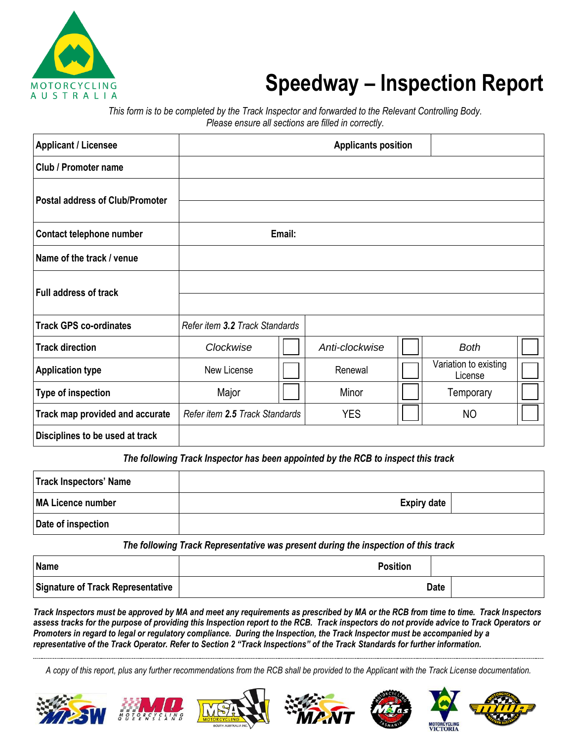

## **Speedway – Inspection Report**

*This form is to be completed by the Track Inspector and forwarded to the Relevant Controlling Body. Please ensure all sections are filled in correctly.*

| <b>Applicant / Licensee</b>            |                                |        | <b>Applicants position</b> |                                  |  |
|----------------------------------------|--------------------------------|--------|----------------------------|----------------------------------|--|
| Club / Promoter name                   |                                |        |                            |                                  |  |
| <b>Postal address of Club/Promoter</b> |                                |        |                            |                                  |  |
| Contact telephone number               |                                | Email: |                            |                                  |  |
| Name of the track / venue              |                                |        |                            |                                  |  |
| <b>Full address of track</b>           |                                |        |                            |                                  |  |
| <b>Track GPS co-ordinates</b>          | Refer item 3.2 Track Standards |        |                            |                                  |  |
| <b>Track direction</b>                 | Clockwise                      |        | Anti-clockwise             | <b>Both</b>                      |  |
| <b>Application type</b>                | New License                    |        | Renewal                    | Variation to existing<br>License |  |
| <b>Type of inspection</b>              | Major                          |        | Minor                      | Temporary                        |  |
| Track map provided and accurate        | Refer item 2.5 Track Standards |        | <b>YES</b>                 | NO                               |  |
| Disciplines to be used at track        |                                |        |                            |                                  |  |

The following Track Inspector has been appointed by the RCB to inspect this track

| Track Inspectors' Name |                    |  |
|------------------------|--------------------|--|
| MA Licence number      | <b>Expiry date</b> |  |
| Date of inspection     |                    |  |

*The following Track Representative was present during the inspection of this track*

| Name                                     | <b>Position</b> |             |  |
|------------------------------------------|-----------------|-------------|--|
| <b>Signature of Track Representative</b> |                 | <b>Date</b> |  |

*Track Inspectors must be approved by MA and meet any requirements as prescribed by MA or the RCB from time to time. Track Inspectors assess tracks for the purpose of providing this Inspection report to the RCB. Track inspectors do not provide advice to Track Operators or Promoters in regard to legal or regulatory compliance. During the Inspection, the Track Inspector must be accompanied by a representative of the Track Operator. Refer to Section 2 "Track Inspections" of the Track Standards for further information.*

*A copy of this report, plus any further recommendations from the RCB shall be provided to the Applicant with the Track License documentation.*













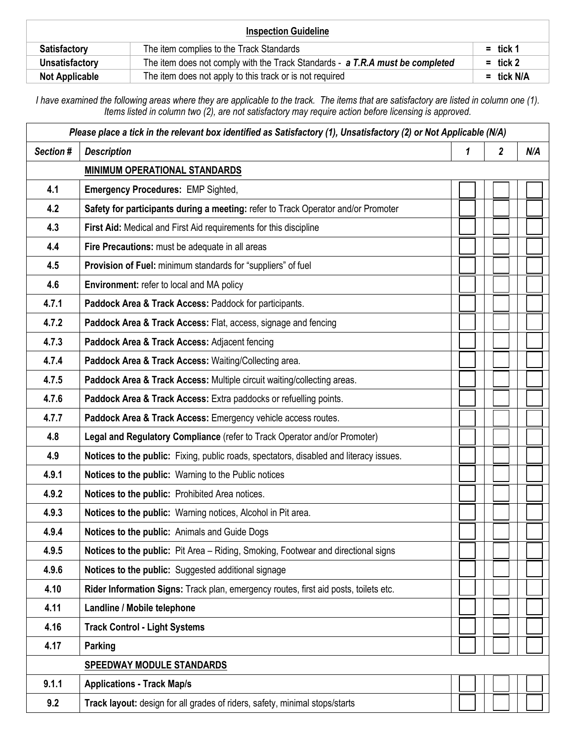| <b>Inspection Guideline</b> |                                                                               |              |  |
|-----------------------------|-------------------------------------------------------------------------------|--------------|--|
| <b>Satisfactory</b>         | The item complies to the Track Standards                                      | $=$ tick 1   |  |
| Unsatisfactory              | The item does not comply with the Track Standards - a T.R.A must be completed | $=$ tick 2   |  |
| <b>Not Applicable</b>       | The item does not apply to this track or is not required                      | $=$ tick N/A |  |

*I have examined the following areas where they are applicable to the track. The items that are satisfactory are listed in column one (1). Items listed in column two (2), are not satisfactory may require action before licensing is approved.*

| Please place a tick in the relevant box identified as Satisfactory (1), Unsatisfactory (2) or Not Applicable (N/A) |                                                                                        |   |                         |     |  |  |
|--------------------------------------------------------------------------------------------------------------------|----------------------------------------------------------------------------------------|---|-------------------------|-----|--|--|
| Section #                                                                                                          | <b>Description</b>                                                                     | 1 | $\overline{\mathbf{2}}$ | N/A |  |  |
|                                                                                                                    | <b>MINIMUM OPERATIONAL STANDARDS</b>                                                   |   |                         |     |  |  |
| 4.1                                                                                                                | <b>Emergency Procedures: EMP Sighted,</b>                                              |   |                         |     |  |  |
| 4.2                                                                                                                | Safety for participants during a meeting: refer to Track Operator and/or Promoter      |   |                         |     |  |  |
| 4.3                                                                                                                | First Aid: Medical and First Aid requirements for this discipline                      |   |                         |     |  |  |
| 4.4                                                                                                                | Fire Precautions: must be adequate in all areas                                        |   |                         |     |  |  |
| 4.5                                                                                                                | Provision of Fuel: minimum standards for "suppliers" of fuel                           |   |                         |     |  |  |
| 4.6                                                                                                                | Environment: refer to local and MA policy                                              |   |                         |     |  |  |
| 4.7.1                                                                                                              | Paddock Area & Track Access: Paddock for participants.                                 |   |                         |     |  |  |
| 4.7.2                                                                                                              | Paddock Area & Track Access: Flat, access, signage and fencing                         |   |                         |     |  |  |
| 4.7.3                                                                                                              | Paddock Area & Track Access: Adjacent fencing                                          |   |                         |     |  |  |
| 4.7.4                                                                                                              | Paddock Area & Track Access: Waiting/Collecting area.                                  |   |                         |     |  |  |
| 4.7.5                                                                                                              | Paddock Area & Track Access: Multiple circuit waiting/collecting areas.                |   |                         |     |  |  |
| 4.7.6                                                                                                              | Paddock Area & Track Access: Extra paddocks or refuelling points.                      |   |                         |     |  |  |
| 4.7.7                                                                                                              | Paddock Area & Track Access: Emergency vehicle access routes.                          |   |                         |     |  |  |
| 4.8                                                                                                                | Legal and Regulatory Compliance (refer to Track Operator and/or Promoter)              |   |                         |     |  |  |
| 4.9                                                                                                                | Notices to the public: Fixing, public roads, spectators, disabled and literacy issues. |   |                         |     |  |  |
| 4.9.1                                                                                                              | Notices to the public: Warning to the Public notices                                   |   |                         |     |  |  |
| 4.9.2                                                                                                              | Notices to the public: Prohibited Area notices.                                        |   |                         |     |  |  |
| 4.9.3                                                                                                              | Notices to the public: Warning notices, Alcohol in Pit area.                           |   |                         |     |  |  |
| 4.9.4                                                                                                              | Notices to the public: Animals and Guide Dogs                                          |   |                         |     |  |  |
| 4.9.5                                                                                                              | Notices to the public: Pit Area - Riding, Smoking, Footwear and directional signs      |   |                         |     |  |  |
| 4.9.6                                                                                                              | Notices to the public: Suggested additional signage                                    |   |                         |     |  |  |
| 4.10                                                                                                               | Rider Information Signs: Track plan, emergency routes, first aid posts, toilets etc.   |   |                         |     |  |  |
| 4.11                                                                                                               | Landline / Mobile telephone                                                            |   |                         |     |  |  |
| 4.16                                                                                                               | <b>Track Control - Light Systems</b>                                                   |   |                         |     |  |  |
| 4.17                                                                                                               | Parking                                                                                |   |                         |     |  |  |
|                                                                                                                    | <b>SPEEDWAY MODULE STANDARDS</b>                                                       |   |                         |     |  |  |
| 9.1.1                                                                                                              | <b>Applications - Track Map/s</b>                                                      |   |                         |     |  |  |
| 9.2                                                                                                                | Track layout: design for all grades of riders, safety, minimal stops/starts            |   |                         |     |  |  |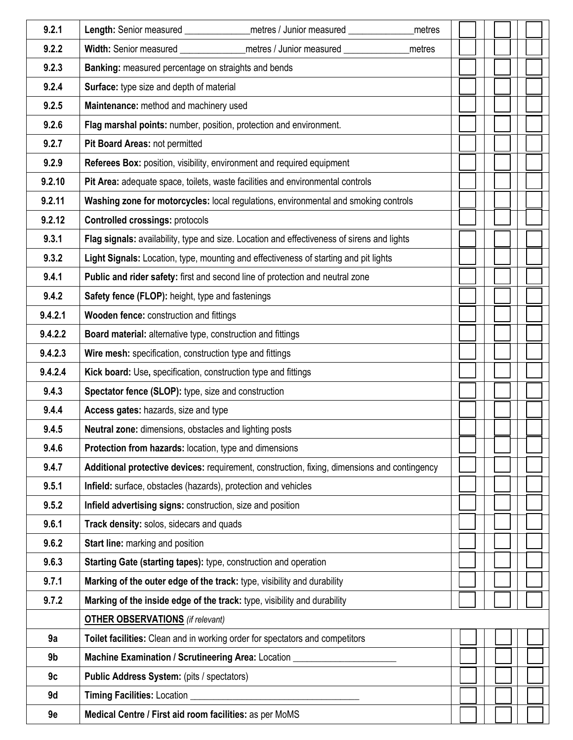| 9.2.1   |                                                                                                                                                                       |  |  |  |  |
|---------|-----------------------------------------------------------------------------------------------------------------------------------------------------------------------|--|--|--|--|
| 9.2.2   | Length: Senior measured _________________ metres / Junior measured ________<br>metres<br>Width: Senior measured __________________ metres / Junior measured<br>metres |  |  |  |  |
| 9.2.3   | Banking: measured percentage on straights and bends                                                                                                                   |  |  |  |  |
| 9.2.4   | Surface: type size and depth of material                                                                                                                              |  |  |  |  |
| 9.2.5   | Maintenance: method and machinery used                                                                                                                                |  |  |  |  |
| 9.2.6   | Flag marshal points: number, position, protection and environment.                                                                                                    |  |  |  |  |
| 9.2.7   | Pit Board Areas: not permitted                                                                                                                                        |  |  |  |  |
| 9.2.9   | Referees Box: position, visibility, environment and required equipment                                                                                                |  |  |  |  |
| 9.2.10  | Pit Area: adequate space, toilets, waste facilities and environmental controls                                                                                        |  |  |  |  |
| 9.2.11  | Washing zone for motorcycles: local regulations, environmental and smoking controls                                                                                   |  |  |  |  |
| 9.2.12  | <b>Controlled crossings: protocols</b>                                                                                                                                |  |  |  |  |
| 9.3.1   | Flag signals: availability, type and size. Location and effectiveness of sirens and lights                                                                            |  |  |  |  |
| 9.3.2   | Light Signals: Location, type, mounting and effectiveness of starting and pit lights                                                                                  |  |  |  |  |
| 9.4.1   | Public and rider safety: first and second line of protection and neutral zone                                                                                         |  |  |  |  |
| 9.4.2   | Safety fence (FLOP): height, type and fastenings                                                                                                                      |  |  |  |  |
| 9.4.2.1 | Wooden fence: construction and fittings                                                                                                                               |  |  |  |  |
| 9.4.2.2 | Board material: alternative type, construction and fittings                                                                                                           |  |  |  |  |
| 9.4.2.3 | Wire mesh: specification, construction type and fittings                                                                                                              |  |  |  |  |
| 9.4.2.4 | Kick board: Use, specification, construction type and fittings                                                                                                        |  |  |  |  |
| 9.4.3   | Spectator fence (SLOP): type, size and construction                                                                                                                   |  |  |  |  |
| 9.4.4   | Access gates: hazards, size and type                                                                                                                                  |  |  |  |  |
| 9.4.5   | <b>Neutral zone:</b> dimensions, obstacles and lighting posts                                                                                                         |  |  |  |  |
| 9.4.6   | Protection from hazards: location, type and dimensions                                                                                                                |  |  |  |  |
| 9.4.7   | Additional protective devices: requirement, construction, fixing, dimensions and contingency                                                                          |  |  |  |  |
| 9.5.1   | Infield: surface, obstacles (hazards), protection and vehicles                                                                                                        |  |  |  |  |
| 9.5.2   | Infield advertising signs: construction, size and position                                                                                                            |  |  |  |  |
| 9.6.1   | Track density: solos, sidecars and quads                                                                                                                              |  |  |  |  |
| 9.6.2   | Start line: marking and position                                                                                                                                      |  |  |  |  |
| 9.6.3   | Starting Gate (starting tapes): type, construction and operation                                                                                                      |  |  |  |  |
| 9.7.1   | Marking of the outer edge of the track: type, visibility and durability                                                                                               |  |  |  |  |
| 9.7.2   | Marking of the inside edge of the track: type, visibility and durability                                                                                              |  |  |  |  |
|         | <b>OTHER OBSERVATIONS</b> (if relevant)                                                                                                                               |  |  |  |  |
| 9a      | Toilet facilities: Clean and in working order for spectators and competitors                                                                                          |  |  |  |  |
| 9b      | Machine Examination / Scrutineering Area: Location _                                                                                                                  |  |  |  |  |
| 9c      | Public Address System: (pits / spectators)                                                                                                                            |  |  |  |  |
| 9d      | <b>Timing Facilities: Location</b>                                                                                                                                    |  |  |  |  |
| 9e      | Medical Centre / First aid room facilities: as per MoMS                                                                                                               |  |  |  |  |